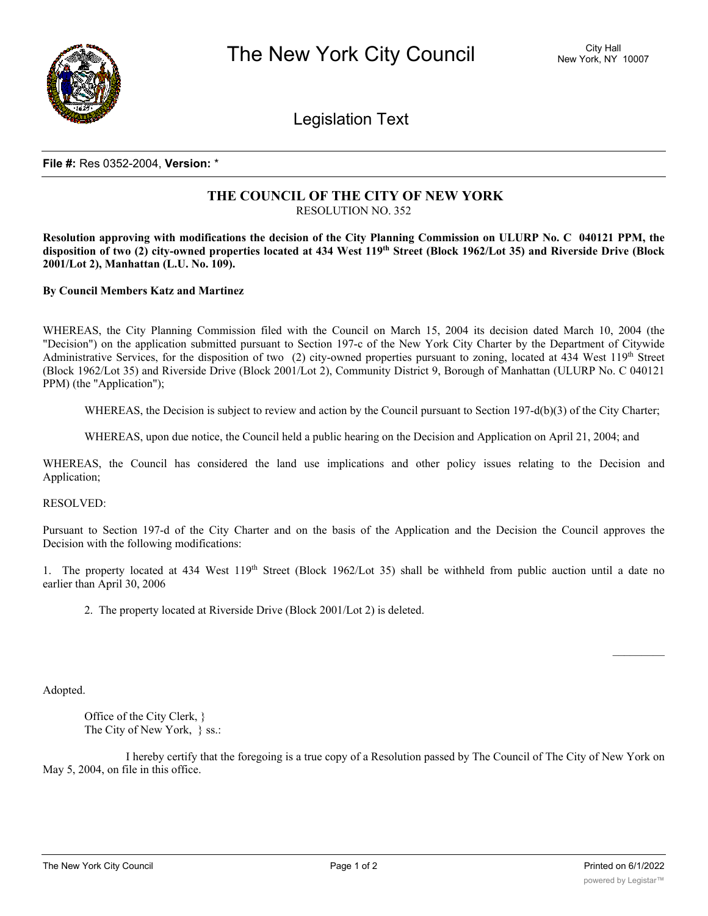

Legislation Text

## **File #:** Res 0352-2004, **Version:** \*

## **THE COUNCIL OF THE CITY OF NEW YORK** RESOLUTION NO. 352

Resolution approving with modifications the decision of the City Planning Commission on ULURP No. C 040121 PPM, the disposition of two (2) city-owned properties located at 434 West 119th Street (Block 1962/Lot 35) and Riverside Drive (Block **2001/Lot 2), Manhattan (L.U. No. 109).**

**By Council Members Katz and Martinez**

WHEREAS, the City Planning Commission filed with the Council on March 15, 2004 its decision dated March 10, 2004 (the "Decision") on the application submitted pursuant to Section 197-c of the New York City Charter by the Department of Citywide Administrative Services, for the disposition of two (2) city-owned properties pursuant to zoning, located at 434 West 119th Street (Block 1962/Lot 35) and Riverside Drive (Block 2001/Lot 2), Community District 9, Borough of Manhattan (ULURP No. C 040121 PPM) (the "Application");

WHEREAS, the Decision is subject to review and action by the Council pursuant to Section 197-d(b)(3) of the City Charter;

WHEREAS, upon due notice, the Council held a public hearing on the Decision and Application on April 21, 2004; and

WHEREAS, the Council has considered the land use implications and other policy issues relating to the Decision and Application;

RESOLVED:

Pursuant to Section 197-d of the City Charter and on the basis of the Application and the Decision the Council approves the Decision with the following modifications:

1. The property located at 434 West  $119<sup>th</sup>$  Street (Block 1962/Lot 35) shall be withheld from public auction until a date no earlier than April 30, 2006

2. The property located at Riverside Drive (Block 2001/Lot 2) is deleted.

Adopted.

Office of the City Clerk, } The City of New York, } ss.:

I hereby certify that the foregoing is a true copy of a Resolution passed by The Council of The City of New York on May 5, 2004, on file in this office.

 $\frac{1}{2}$